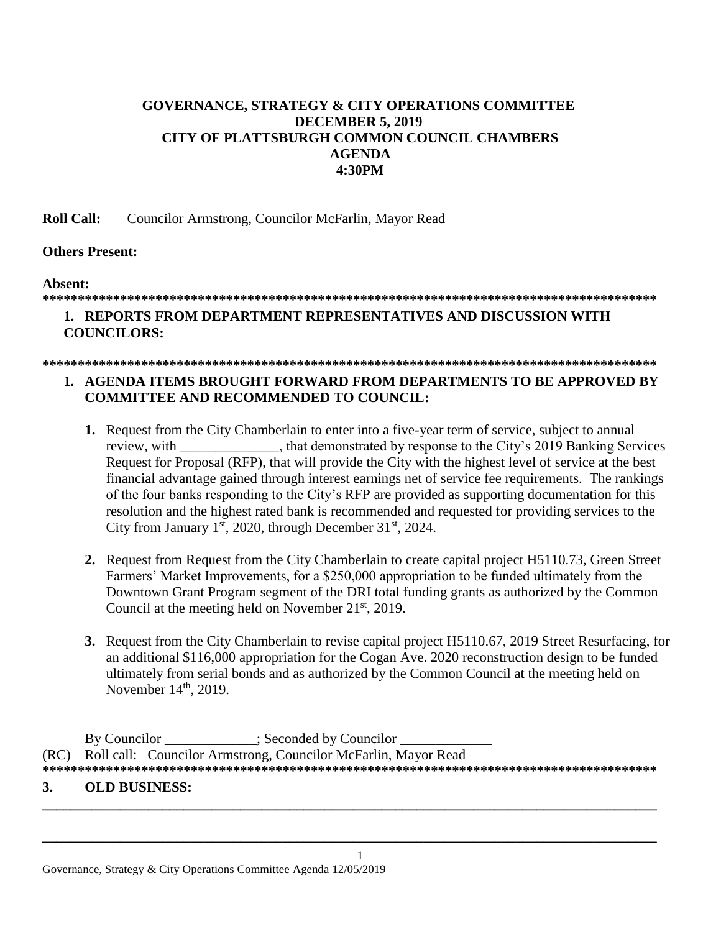# **GOVERNANCE, STRATEGY & CITY OPERATIONS COMMITTEE DECEMBER 5, 2019 CITY OF PLATTSBURGH COMMON COUNCIL CHAMBERS AGENDA** 4:30PM

**Roll Call:** Councilor Armstrong, Councilor McFarlin, Mayor Read

# **Others Present:**

# Absent:

### 

# 1. REPORTS FROM DEPARTMENT REPRESENTATIVES AND DISCUSSION WITH **COUNCILORS:**

#### 

# 1. AGENDA ITEMS BROUGHT FORWARD FROM DEPARTMENTS TO BE APPROVED BY **COMMITTEE AND RECOMMENDED TO COUNCIL:**

- 1. Request from the City Chamberlain to enter into a five-year term of service, subject to annual review, with the that demonstrated by response to the City's 2019 Banking Services Request for Proposal (RFP), that will provide the City with the highest level of service at the best financial advantage gained through interest earnings net of service fee requirements. The rankings of the four banks responding to the City's RFP are provided as supporting documentation for this resolution and the highest rated bank is recommended and requested for providing services to the City from January  $1<sup>st</sup>$ , 2020, through December 31 $<sup>st</sup>$ , 2024.</sup>
- 2. Request from Request from the City Chamberlain to create capital project H5110.73, Green Street Farmers' Market Improvements, for a \$250,000 appropriation to be funded ultimately from the Downtown Grant Program segment of the DRI total funding grants as authorized by the Common Council at the meeting held on November  $21<sup>st</sup>$ , 2019.
- 3. Request from the City Chamberlain to revise capital project H5110.67, 2019 Street Resurfacing, for an additional \$116,000 appropriation for the Cogan Ave. 2020 reconstruction design to be funded ultimately from serial bonds and as authorized by the Common Council at the meeting held on November  $14<sup>th</sup>$ , 2019.

By Councilor : Seconded by Councilor Roll call: Councilor Armstrong, Councilor McFarlin, Mayor Read  $(RC)$ 

#### 3. **OLD BUSINESS:**